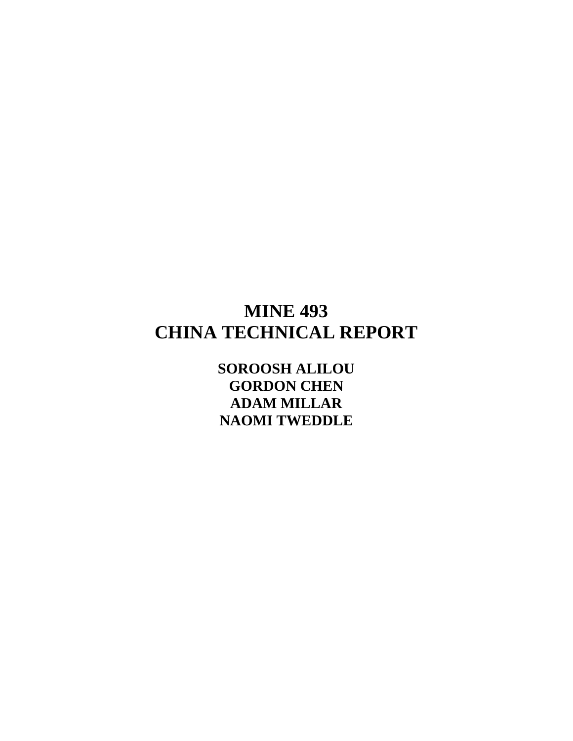# **MINE 493 CHINA TECHNICAL REPORT**

**SOROOSH ALILOU GORDON CHEN ADAM MILLAR NAOMI TWEDDLE**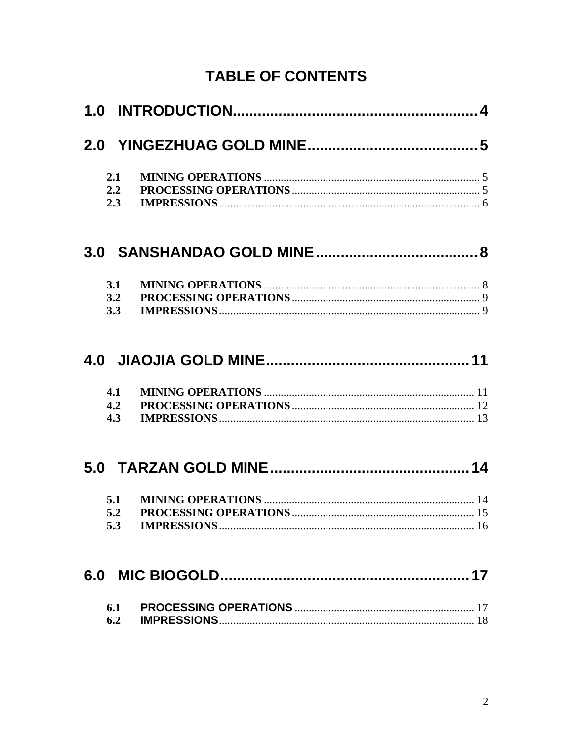# **TABLE OF CONTENTS**

| 2.1<br>2.2<br>2.3 |  |
|-------------------|--|
|                   |  |
| 3.1<br>3.2<br>3.3 |  |
|                   |  |
| 4.1<br>4.2<br>4.3 |  |
|                   |  |
| 5.1<br>5.2<br>5.3 |  |
|                   |  |
| 6.1<br>6.2        |  |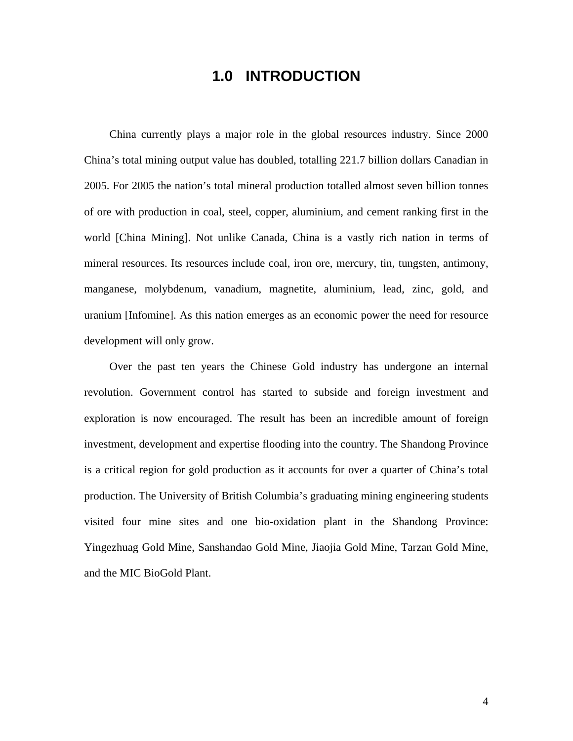# **1.0 INTRODUCTION**

<span id="page-3-0"></span>China currently plays a major role in the global resources industry. Since 2000 China's total mining output value has doubled, totalling 221.7 billion dollars Canadian in 2005. For 2005 the nation's total mineral production totalled almost seven billion tonnes of ore with production in coal, steel, copper, aluminium, and cement ranking first in the world [China Mining]. Not unlike Canada, China is a vastly rich nation in terms of mineral resources. Its resources include coal, iron ore, mercury, tin, tungsten, antimony, manganese, molybdenum, vanadium, magnetite, aluminium, lead, zinc, gold, and uranium [Infomine]. As this nation emerges as an economic power the need for resource development will only grow.

Over the past ten years the Chinese Gold industry has undergone an internal revolution. Government control has started to subside and foreign investment and exploration is now encouraged. The result has been an incredible amount of foreign investment, development and expertise flooding into the country. The Shandong Province is a critical region for gold production as it accounts for over a quarter of China's total production. The University of British Columbia's graduating mining engineering students visited four mine sites and one bio-oxidation plant in the Shandong Province: Yingezhuag Gold Mine, Sanshandao Gold Mine, Jiaojia Gold Mine, Tarzan Gold Mine, and the MIC BioGold Plant.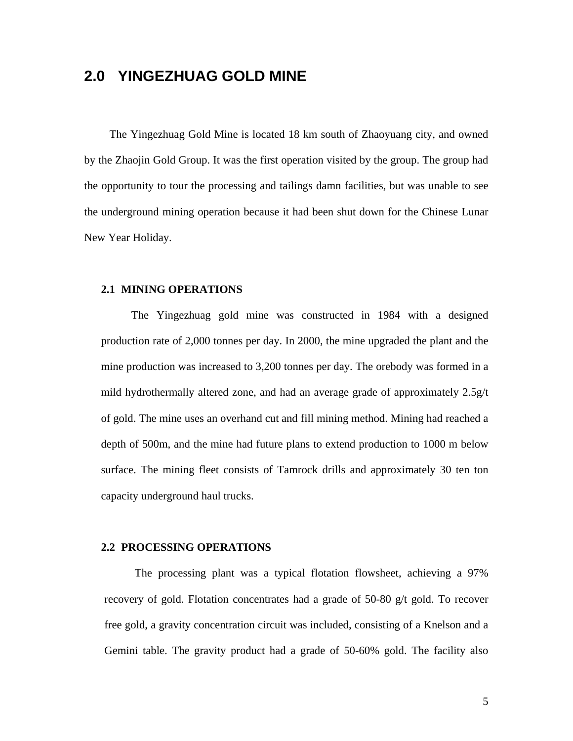## <span id="page-4-0"></span>**2.0 YINGEZHUAG GOLD MINE**

The Yingezhuag Gold Mine is located 18 km south of Zhaoyuang city, and owned by the Zhaojin Gold Group. It was the first operation visited by the group. The group had the opportunity to tour the processing and tailings damn facilities, but was unable to see the underground mining operation because it had been shut down for the Chinese Lunar New Year Holiday.

### **2.1 MINING OPERATIONS**

The Yingezhuag gold mine was constructed in 1984 with a designed production rate of 2,000 tonnes per day. In 2000, the mine upgraded the plant and the mine production was increased to 3,200 tonnes per day. The orebody was formed in a mild hydrothermally altered zone, and had an average grade of approximately 2.5g/t of gold. The mine uses an overhand cut and fill mining method. Mining had reached a depth of 500m, and the mine had future plans to extend production to 1000 m below surface. The mining fleet consists of Tamrock drills and approximately 30 ten ton capacity underground haul trucks.

### **2.2 PROCESSING OPERATIONS**

The processing plant was a typical flotation flowsheet, achieving a 97% recovery of gold. Flotation concentrates had a grade of 50-80 g/t gold. To recover free gold, a gravity concentration circuit was included, consisting of a Knelson and a Gemini table. The gravity product had a grade of 50-60% gold. The facility also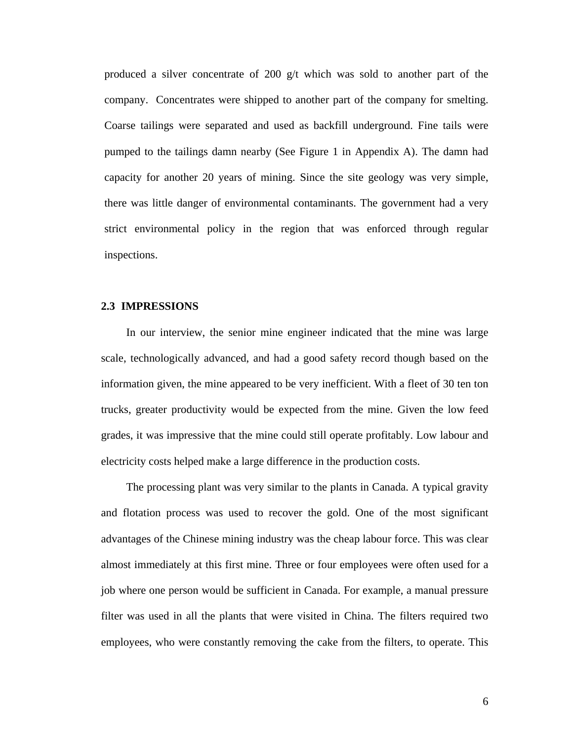<span id="page-5-0"></span>produced a silver concentrate of 200 g/t which was sold to another part of the company. Concentrates were shipped to another part of the company for smelting. Coarse tailings were separated and used as backfill underground. Fine tails were pumped to the tailings damn nearby (See Figure 1 in Appendix A). The damn had capacity for another 20 years of mining. Since the site geology was very simple, there was little danger of environmental contaminants. The government had a very strict environmental policy in the region that was enforced through regular inspections.

#### **2.3 IMPRESSIONS**

In our interview, the senior mine engineer indicated that the mine was large scale, technologically advanced, and had a good safety record though based on the information given, the mine appeared to be very inefficient. With a fleet of 30 ten ton trucks, greater productivity would be expected from the mine. Given the low feed grades, it was impressive that the mine could still operate profitably. Low labour and electricity costs helped make a large difference in the production costs.

The processing plant was very similar to the plants in Canada. A typical gravity and flotation process was used to recover the gold. One of the most significant advantages of the Chinese mining industry was the cheap labour force. This was clear almost immediately at this first mine. Three or four employees were often used for a job where one person would be sufficient in Canada. For example, a manual pressure filter was used in all the plants that were visited in China. The filters required two employees, who were constantly removing the cake from the filters, to operate. This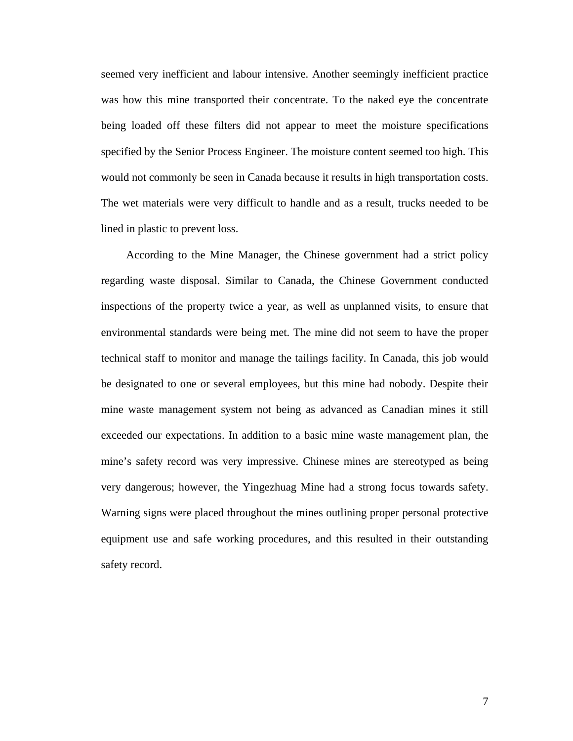seemed very inefficient and labour intensive. Another seemingly inefficient practice was how this mine transported their concentrate. To the naked eye the concentrate being loaded off these filters did not appear to meet the moisture specifications specified by the Senior Process Engineer. The moisture content seemed too high. This would not commonly be seen in Canada because it results in high transportation costs. The wet materials were very difficult to handle and as a result, trucks needed to be lined in plastic to prevent loss.

According to the Mine Manager, the Chinese government had a strict policy regarding waste disposal. Similar to Canada, the Chinese Government conducted inspections of the property twice a year, as well as unplanned visits, to ensure that environmental standards were being met. The mine did not seem to have the proper technical staff to monitor and manage the tailings facility. In Canada, this job would be designated to one or several employees, but this mine had nobody. Despite their mine waste management system not being as advanced as Canadian mines it still exceeded our expectations. In addition to a basic mine waste management plan, the mine's safety record was very impressive. Chinese mines are stereotyped as being very dangerous; however, the Yingezhuag Mine had a strong focus towards safety. Warning signs were placed throughout the mines outlining proper personal protective equipment use and safe working procedures, and this resulted in their outstanding safety record.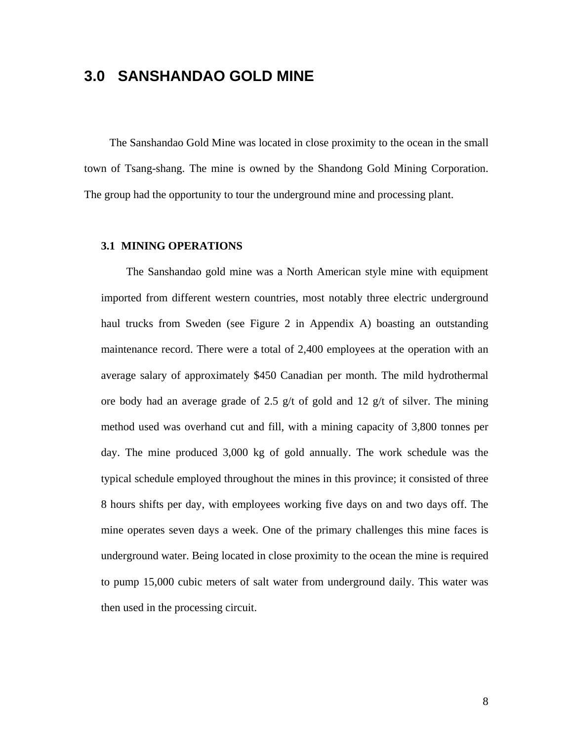## <span id="page-7-0"></span>**3.0 SANSHANDAO GOLD MINE**

The Sanshandao Gold Mine was located in close proximity to the ocean in the small town of Tsang-shang. The mine is owned by the Shandong Gold Mining Corporation. The group had the opportunity to tour the underground mine and processing plant.

#### **3.1 MINING OPERATIONS**

The Sanshandao gold mine was a North American style mine with equipment imported from different western countries, most notably three electric underground haul trucks from Sweden (see Figure 2 in Appendix A) boasting an outstanding maintenance record. There were a total of 2,400 employees at the operation with an average salary of approximately \$450 Canadian per month. The mild hydrothermal ore body had an average grade of 2.5 g/t of gold and 12 g/t of silver. The mining method used was overhand cut and fill, with a mining capacity of 3,800 tonnes per day. The mine produced 3,000 kg of gold annually. The work schedule was the typical schedule employed throughout the mines in this province; it consisted of three 8 hours shifts per day, with employees working five days on and two days off. The mine operates seven days a week. One of the primary challenges this mine faces is underground water. Being located in close proximity to the ocean the mine is required to pump 15,000 cubic meters of salt water from underground daily. This water was then used in the processing circuit.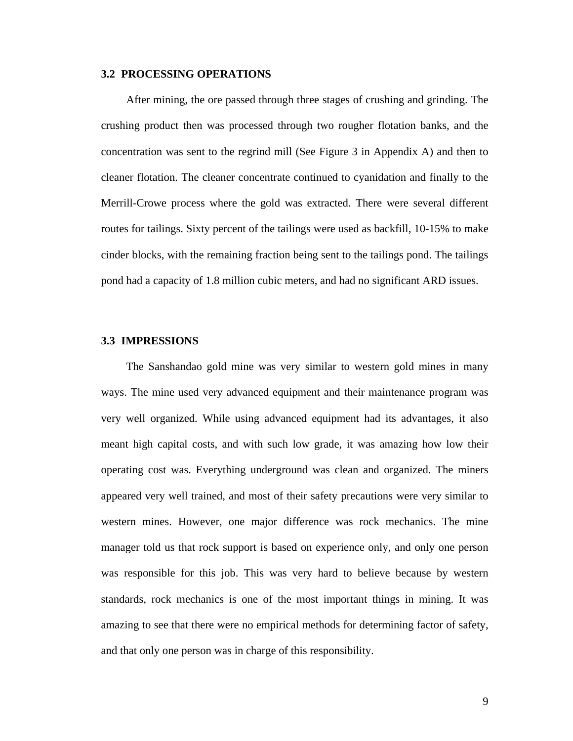#### <span id="page-8-0"></span>**3.2 PROCESSING OPERATIONS**

After mining, the ore passed through three stages of crushing and grinding. The crushing product then was processed through two rougher flotation banks, and the concentration was sent to the regrind mill (See Figure 3 in Appendix A) and then to cleaner flotation. The cleaner concentrate continued to cyanidation and finally to the Merrill-Crowe process where the gold was extracted. There were several different routes for tailings. Sixty percent of the tailings were used as backfill, 10-15% to make cinder blocks, with the remaining fraction being sent to the tailings pond. The tailings pond had a capacity of 1.8 million cubic meters, and had no significant ARD issues.

#### **3.3 IMPRESSIONS**

The Sanshandao gold mine was very similar to western gold mines in many ways. The mine used very advanced equipment and their maintenance program was very well organized. While using advanced equipment had its advantages, it also meant high capital costs, and with such low grade, it was amazing how low their operating cost was. Everything underground was clean and organized. The miners appeared very well trained, and most of their safety precautions were very similar to western mines. However, one major difference was rock mechanics. The mine manager told us that rock support is based on experience only, and only one person was responsible for this job. This was very hard to believe because by western standards, rock mechanics is one of the most important things in mining. It was amazing to see that there were no empirical methods for determining factor of safety, and that only one person was in charge of this responsibility.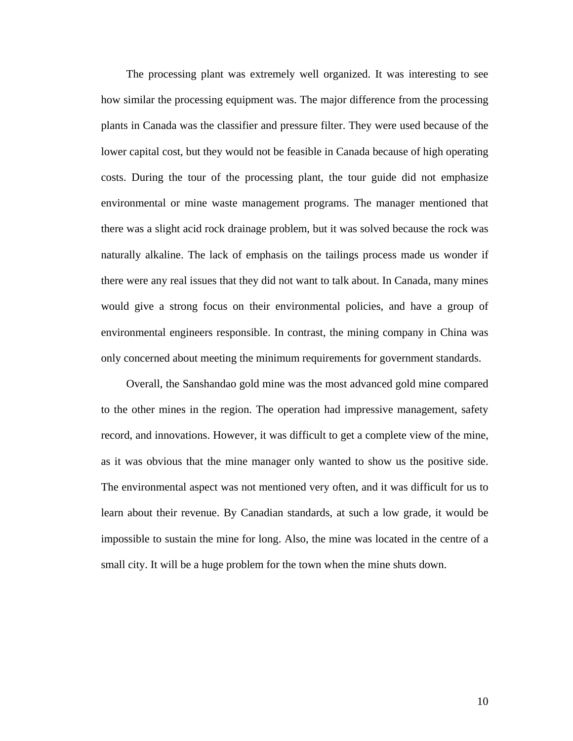The processing plant was extremely well organized. It was interesting to see how similar the processing equipment was. The major difference from the processing plants in Canada was the classifier and pressure filter. They were used because of the lower capital cost, but they would not be feasible in Canada because of high operating costs. During the tour of the processing plant, the tour guide did not emphasize environmental or mine waste management programs. The manager mentioned that there was a slight acid rock drainage problem, but it was solved because the rock was naturally alkaline. The lack of emphasis on the tailings process made us wonder if there were any real issues that they did not want to talk about. In Canada, many mines would give a strong focus on their environmental policies, and have a group of environmental engineers responsible. In contrast, the mining company in China was only concerned about meeting the minimum requirements for government standards.

Overall, the Sanshandao gold mine was the most advanced gold mine compared to the other mines in the region. The operation had impressive management, safety record, and innovations. However, it was difficult to get a complete view of the mine, as it was obvious that the mine manager only wanted to show us the positive side. The environmental aspect was not mentioned very often, and it was difficult for us to learn about their revenue. By Canadian standards, at such a low grade, it would be impossible to sustain the mine for long. Also, the mine was located in the centre of a small city. It will be a huge problem for the town when the mine shuts down.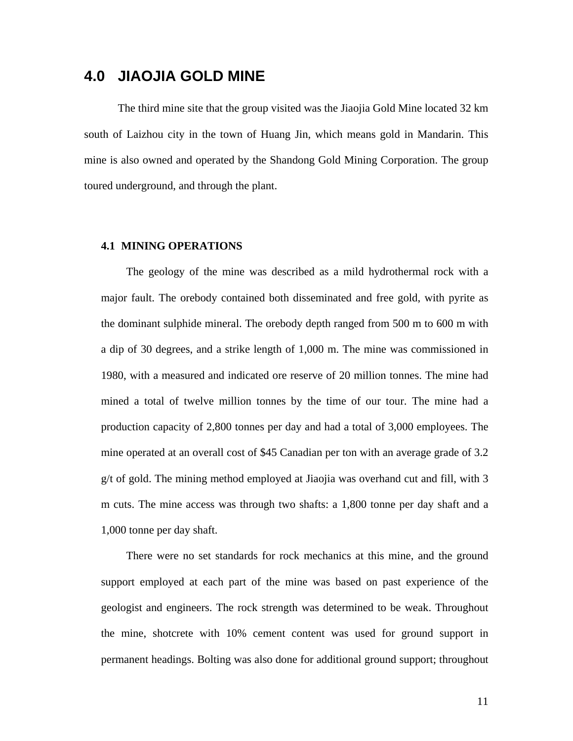## <span id="page-10-0"></span>**4.0 JIAOJIA GOLD MINE**

The third mine site that the group visited was the Jiaojia Gold Mine located 32 km south of Laizhou city in the town of Huang Jin, which means gold in Mandarin. This mine is also owned and operated by the Shandong Gold Mining Corporation. The group toured underground, and through the plant.

#### **4.1 MINING OPERATIONS**

The geology of the mine was described as a mild hydrothermal rock with a major fault. The orebody contained both disseminated and free gold, with pyrite as the dominant sulphide mineral. The orebody depth ranged from 500 m to 600 m with a dip of 30 degrees, and a strike length of 1,000 m. The mine was commissioned in 1980, with a measured and indicated ore reserve of 20 million tonnes. The mine had mined a total of twelve million tonnes by the time of our tour. The mine had a production capacity of 2,800 tonnes per day and had a total of 3,000 employees. The mine operated at an overall cost of \$45 Canadian per ton with an average grade of 3.2 g/t of gold. The mining method employed at Jiaojia was overhand cut and fill, with 3 m cuts. The mine access was through two shafts: a 1,800 tonne per day shaft and a 1,000 tonne per day shaft.

There were no set standards for rock mechanics at this mine, and the ground support employed at each part of the mine was based on past experience of the geologist and engineers. The rock strength was determined to be weak. Throughout the mine, shotcrete with 10% cement content was used for ground support in permanent headings. Bolting was also done for additional ground support; throughout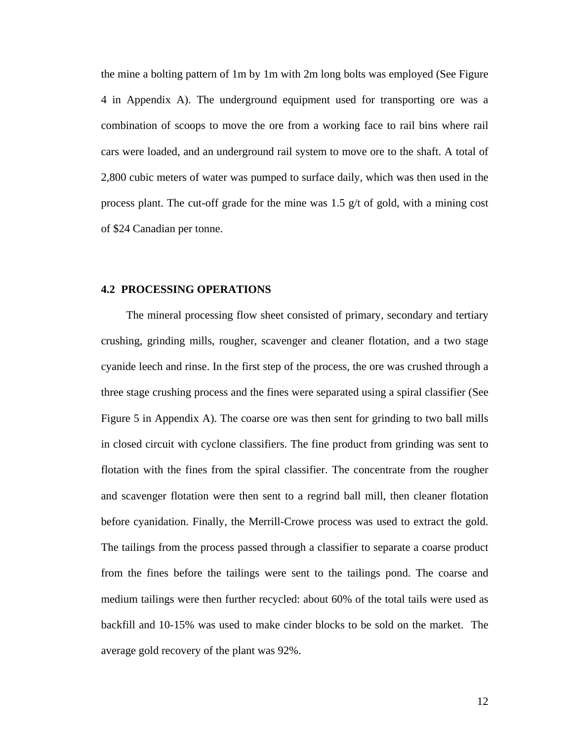<span id="page-11-0"></span>the mine a bolting pattern of 1m by 1m with 2m long bolts was employed (See Figure 4 in Appendix A). The underground equipment used for transporting ore was a combination of scoops to move the ore from a working face to rail bins where rail cars were loaded, and an underground rail system to move ore to the shaft. A total of 2,800 cubic meters of water was pumped to surface daily, which was then used in the process plant. The cut-off grade for the mine was 1.5 g/t of gold, with a mining cost of \$24 Canadian per tonne.

#### **4.2 PROCESSING OPERATIONS**

The mineral processing flow sheet consisted of primary, secondary and tertiary crushing, grinding mills, rougher, scavenger and cleaner flotation, and a two stage cyanide leech and rinse. In the first step of the process, the ore was crushed through a three stage crushing process and the fines were separated using a spiral classifier (See Figure 5 in Appendix A). The coarse ore was then sent for grinding to two ball mills in closed circuit with cyclone classifiers. The fine product from grinding was sent to flotation with the fines from the spiral classifier. The concentrate from the rougher and scavenger flotation were then sent to a regrind ball mill, then cleaner flotation before cyanidation. Finally, the Merrill-Crowe process was used to extract the gold. The tailings from the process passed through a classifier to separate a coarse product from the fines before the tailings were sent to the tailings pond. The coarse and medium tailings were then further recycled: about 60% of the total tails were used as backfill and 10-15% was used to make cinder blocks to be sold on the market. The average gold recovery of the plant was 92%.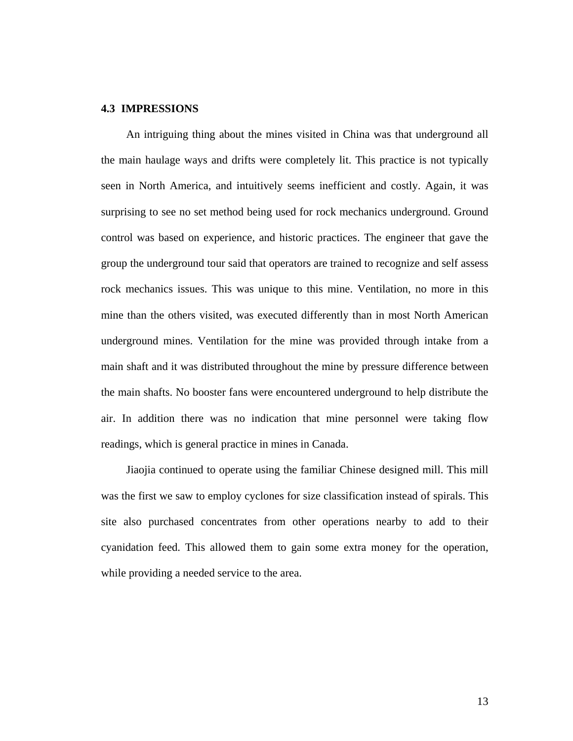### <span id="page-12-0"></span>**4.3 IMPRESSIONS**

An intriguing thing about the mines visited in China was that underground all the main haulage ways and drifts were completely lit. This practice is not typically seen in North America, and intuitively seems inefficient and costly. Again, it was surprising to see no set method being used for rock mechanics underground. Ground control was based on experience, and historic practices. The engineer that gave the group the underground tour said that operators are trained to recognize and self assess rock mechanics issues. This was unique to this mine. Ventilation, no more in this mine than the others visited, was executed differently than in most North American underground mines. Ventilation for the mine was provided through intake from a main shaft and it was distributed throughout the mine by pressure difference between the main shafts. No booster fans were encountered underground to help distribute the air. In addition there was no indication that mine personnel were taking flow readings, which is general practice in mines in Canada.

Jiaojia continued to operate using the familiar Chinese designed mill. This mill was the first we saw to employ cyclones for size classification instead of spirals. This site also purchased concentrates from other operations nearby to add to their cyanidation feed. This allowed them to gain some extra money for the operation, while providing a needed service to the area.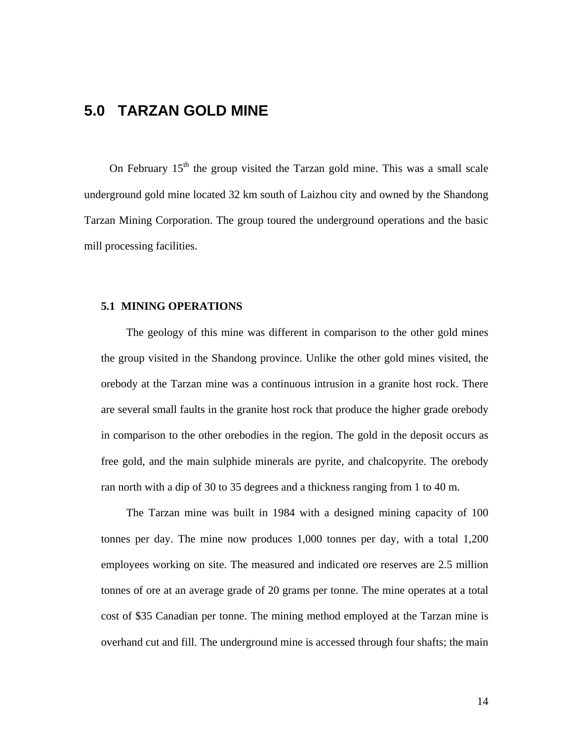## <span id="page-13-0"></span>**5.0 TARZAN GOLD MINE**

On February  $15<sup>th</sup>$  the group visited the Tarzan gold mine. This was a small scale underground gold mine located 32 km south of Laizhou city and owned by the Shandong Tarzan Mining Corporation. The group toured the underground operations and the basic mill processing facilities.

#### **5.1 MINING OPERATIONS**

The geology of this mine was different in comparison to the other gold mines the group visited in the Shandong province. Unlike the other gold mines visited, the orebody at the Tarzan mine was a continuous intrusion in a granite host rock. There are several small faults in the granite host rock that produce the higher grade orebody in comparison to the other orebodies in the region. The gold in the deposit occurs as free gold, and the main sulphide minerals are pyrite, and chalcopyrite. The orebody ran north with a dip of 30 to 35 degrees and a thickness ranging from 1 to 40 m.

The Tarzan mine was built in 1984 with a designed mining capacity of 100 tonnes per day. The mine now produces 1,000 tonnes per day, with a total 1,200 employees working on site. The measured and indicated ore reserves are 2.5 million tonnes of ore at an average grade of 20 grams per tonne. The mine operates at a total cost of \$35 Canadian per tonne. The mining method employed at the Tarzan mine is overhand cut and fill. The underground mine is accessed through four shafts; the main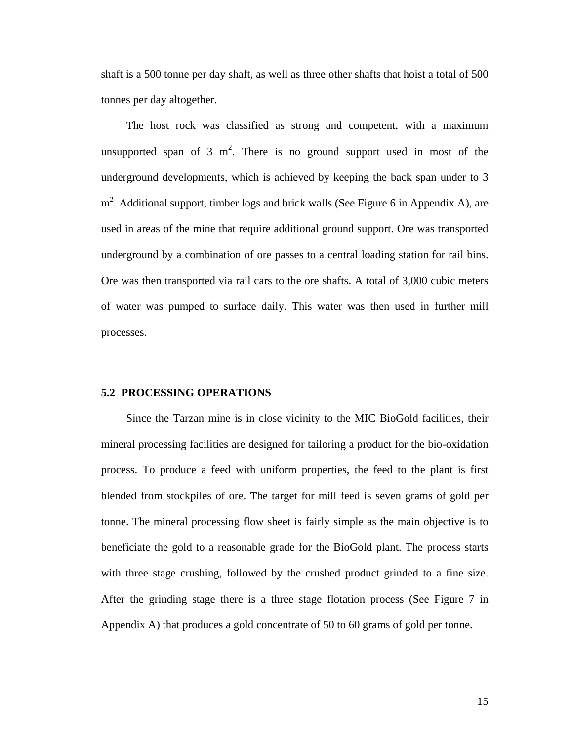<span id="page-14-0"></span>shaft is a 500 tonne per day shaft, as well as three other shafts that hoist a total of 500 tonnes per day altogether.

The host rock was classified as strong and competent, with a maximum unsupported span of 3  $m^2$ . There is no ground support used in most of the underground developments, which is achieved by keeping the back span under to 3 m<sup>2</sup>. Additional support, timber logs and brick walls (See Figure 6 in Appendix A), are used in areas of the mine that require additional ground support. Ore was transported underground by a combination of ore passes to a central loading station for rail bins. Ore was then transported via rail cars to the ore shafts. A total of 3,000 cubic meters of water was pumped to surface daily. This water was then used in further mill processes.

#### **5.2 PROCESSING OPERATIONS**

Since the Tarzan mine is in close vicinity to the MIC BioGold facilities, their mineral processing facilities are designed for tailoring a product for the bio-oxidation process. To produce a feed with uniform properties, the feed to the plant is first blended from stockpiles of ore. The target for mill feed is seven grams of gold per tonne. The mineral processing flow sheet is fairly simple as the main objective is to beneficiate the gold to a reasonable grade for the BioGold plant. The process starts with three stage crushing, followed by the crushed product grinded to a fine size. After the grinding stage there is a three stage flotation process (See Figure 7 in Appendix A) that produces a gold concentrate of 50 to 60 grams of gold per tonne.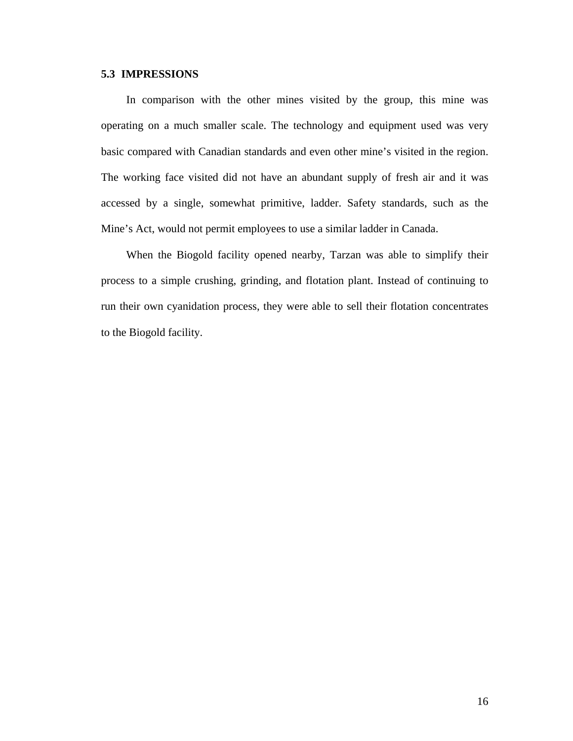### <span id="page-15-0"></span>**5.3 IMPRESSIONS**

In comparison with the other mines visited by the group, this mine was operating on a much smaller scale. The technology and equipment used was very basic compared with Canadian standards and even other mine's visited in the region. The working face visited did not have an abundant supply of fresh air and it was accessed by a single, somewhat primitive, ladder. Safety standards, such as the Mine's Act, would not permit employees to use a similar ladder in Canada.

When the Biogold facility opened nearby, Tarzan was able to simplify their process to a simple crushing, grinding, and flotation plant. Instead of continuing to run their own cyanidation process, they were able to sell their flotation concentrates to the Biogold facility.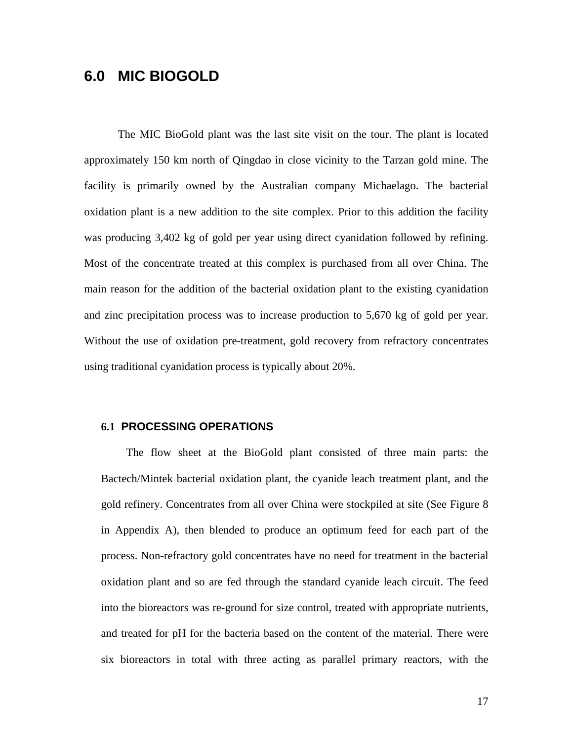## <span id="page-16-0"></span>**6.0 MIC BIOGOLD**

The MIC BioGold plant was the last site visit on the tour. The plant is located approximately 150 km north of Qingdao in close vicinity to the Tarzan gold mine. The facility is primarily owned by the Australian company Michaelago. The bacterial oxidation plant is a new addition to the site complex. Prior to this addition the facility was producing 3,402 kg of gold per year using direct cyanidation followed by refining. Most of the concentrate treated at this complex is purchased from all over China. The main reason for the addition of the bacterial oxidation plant to the existing cyanidation and zinc precipitation process was to increase production to 5,670 kg of gold per year. Without the use of oxidation pre-treatment, gold recovery from refractory concentrates using traditional cyanidation process is typically about 20%.

### **6.1 PROCESSING OPERATIONS**

The flow sheet at the BioGold plant consisted of three main parts: the Bactech/Mintek bacterial oxidation plant, the cyanide leach treatment plant, and the gold refinery. Concentrates from all over China were stockpiled at site (See Figure 8 in Appendix A), then blended to produce an optimum feed for each part of the process. Non-refractory gold concentrates have no need for treatment in the bacterial oxidation plant and so are fed through the standard cyanide leach circuit. The feed into the bioreactors was re-ground for size control, treated with appropriate nutrients, and treated for pH for the bacteria based on the content of the material. There were six bioreactors in total with three acting as parallel primary reactors, with the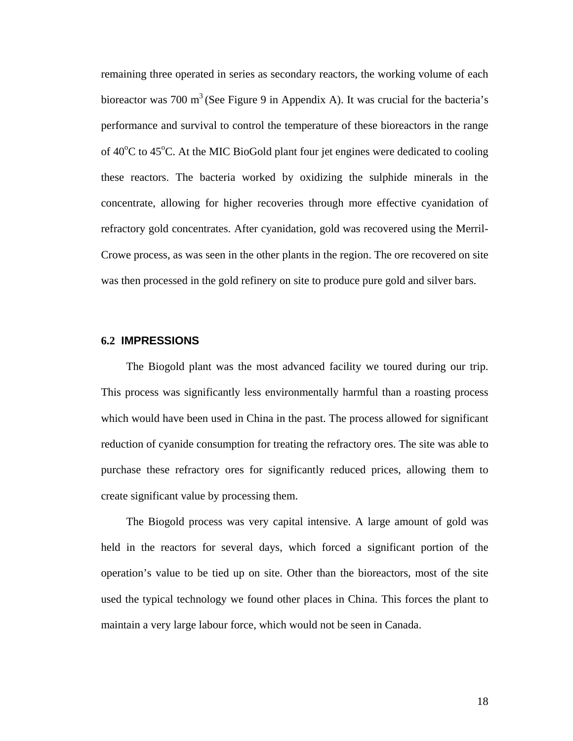<span id="page-17-0"></span>remaining three operated in series as secondary reactors, the working volume of each bioreactor was 700 m<sup>3</sup> (See Figure 9 in Appendix A). It was crucial for the bacteria's performance and survival to control the temperature of these bioreactors in the range of 40°C to 45°C. At the MIC BioGold plant four jet engines were dedicated to cooling these reactors. The bacteria worked by oxidizing the sulphide minerals in the concentrate, allowing for higher recoveries through more effective cyanidation of refractory gold concentrates. After cyanidation, gold was recovered using the Merril-Crowe process, as was seen in the other plants in the region. The ore recovered on site was then processed in the gold refinery on site to produce pure gold and silver bars.

### **6.2 IMPRESSIONS**

The Biogold plant was the most advanced facility we toured during our trip. This process was significantly less environmentally harmful than a roasting process which would have been used in China in the past. The process allowed for significant reduction of cyanide consumption for treating the refractory ores. The site was able to purchase these refractory ores for significantly reduced prices, allowing them to create significant value by processing them.

The Biogold process was very capital intensive. A large amount of gold was held in the reactors for several days, which forced a significant portion of the operation's value to be tied up on site. Other than the bioreactors, most of the site used the typical technology we found other places in China. This forces the plant to maintain a very large labour force, which would not be seen in Canada.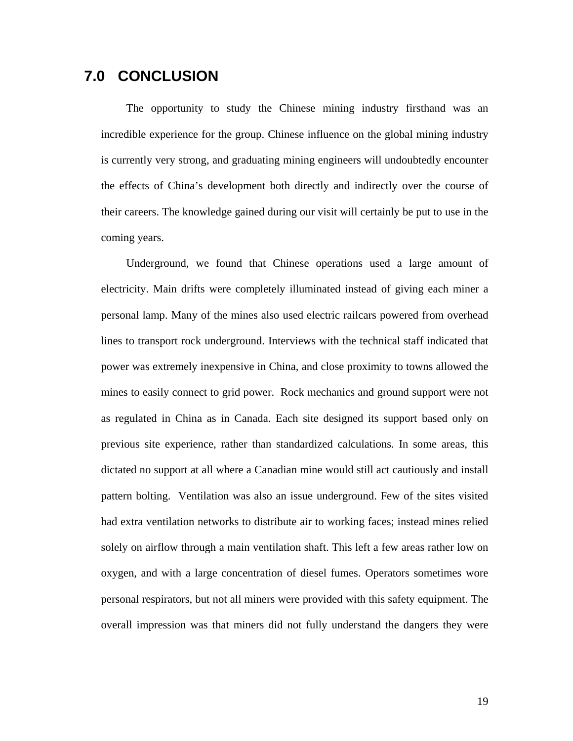# <span id="page-18-0"></span>**7.0 CONCLUSION**

The opportunity to study the Chinese mining industry firsthand was an incredible experience for the group. Chinese influence on the global mining industry is currently very strong, and graduating mining engineers will undoubtedly encounter the effects of China's development both directly and indirectly over the course of their careers. The knowledge gained during our visit will certainly be put to use in the coming years.

Underground, we found that Chinese operations used a large amount of electricity. Main drifts were completely illuminated instead of giving each miner a personal lamp. Many of the mines also used electric railcars powered from overhead lines to transport rock underground. Interviews with the technical staff indicated that power was extremely inexpensive in China, and close proximity to towns allowed the mines to easily connect to grid power. Rock mechanics and ground support were not as regulated in China as in Canada. Each site designed its support based only on previous site experience, rather than standardized calculations. In some areas, this dictated no support at all where a Canadian mine would still act cautiously and install pattern bolting. Ventilation was also an issue underground. Few of the sites visited had extra ventilation networks to distribute air to working faces; instead mines relied solely on airflow through a main ventilation shaft. This left a few areas rather low on oxygen, and with a large concentration of diesel fumes. Operators sometimes wore personal respirators, but not all miners were provided with this safety equipment. The overall impression was that miners did not fully understand the dangers they were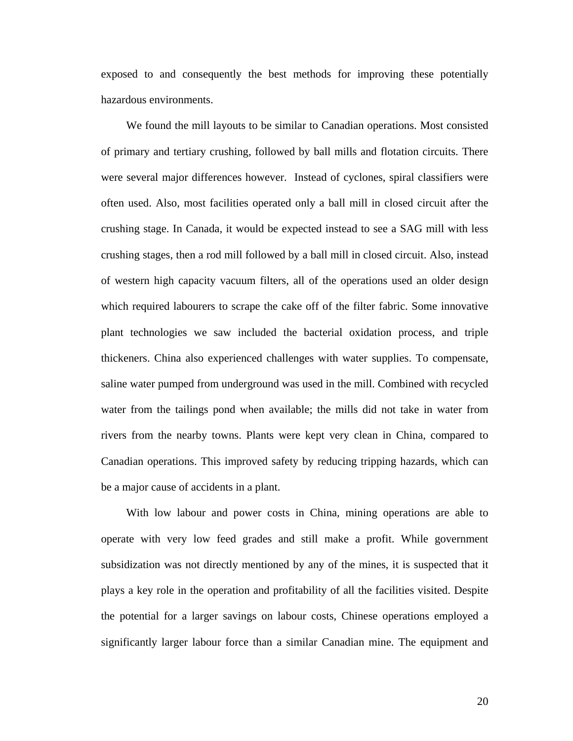exposed to and consequently the best methods for improving these potentially hazardous environments.

We found the mill layouts to be similar to Canadian operations. Most consisted of primary and tertiary crushing, followed by ball mills and flotation circuits. There were several major differences however. Instead of cyclones, spiral classifiers were often used. Also, most facilities operated only a ball mill in closed circuit after the crushing stage. In Canada, it would be expected instead to see a SAG mill with less crushing stages, then a rod mill followed by a ball mill in closed circuit. Also, instead of western high capacity vacuum filters, all of the operations used an older design which required labourers to scrape the cake off of the filter fabric. Some innovative plant technologies we saw included the bacterial oxidation process, and triple thickeners. China also experienced challenges with water supplies. To compensate, saline water pumped from underground was used in the mill. Combined with recycled water from the tailings pond when available; the mills did not take in water from rivers from the nearby towns. Plants were kept very clean in China, compared to Canadian operations. This improved safety by reducing tripping hazards, which can be a major cause of accidents in a plant.

With low labour and power costs in China, mining operations are able to operate with very low feed grades and still make a profit. While government subsidization was not directly mentioned by any of the mines, it is suspected that it plays a key role in the operation and profitability of all the facilities visited. Despite the potential for a larger savings on labour costs, Chinese operations employed a significantly larger labour force than a similar Canadian mine. The equipment and

20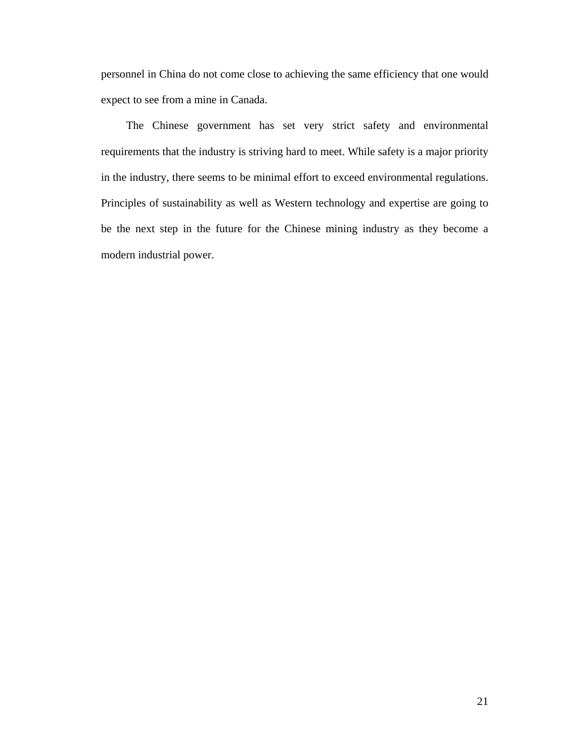personnel in China do not come close to achieving the same efficiency that one would expect to see from a mine in Canada.

The Chinese government has set very strict safety and environmental requirements that the industry is striving hard to meet. While safety is a major priority in the industry, there seems to be minimal effort to exceed environmental regulations. Principles of sustainability as well as Western technology and expertise are going to be the next step in the future for the Chinese mining industry as they become a modern industrial power.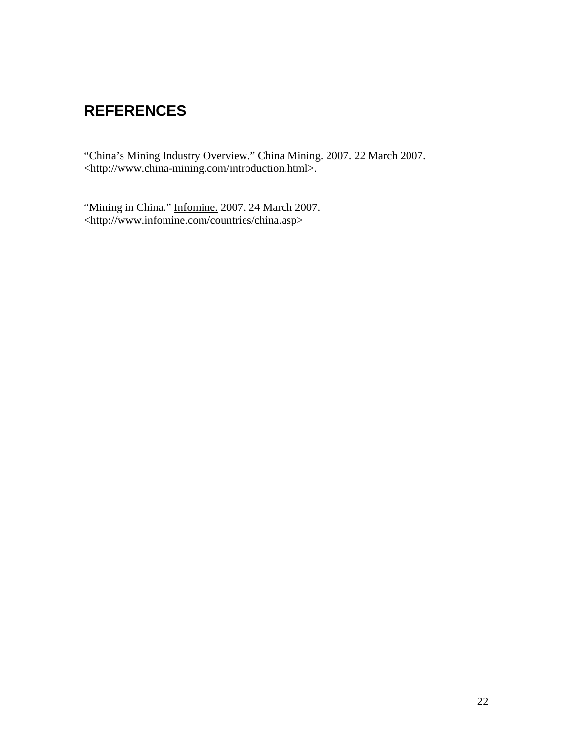# <span id="page-21-0"></span>**REFERENCES**

"China's Mining Industry Overview." China Mining. 2007. 22 March 2007. <http://www.china-mining.com/introduction.html>.

"Mining in China." Infomine. 2007. 24 March 2007. <http://www.infomine.com/countries/china.asp>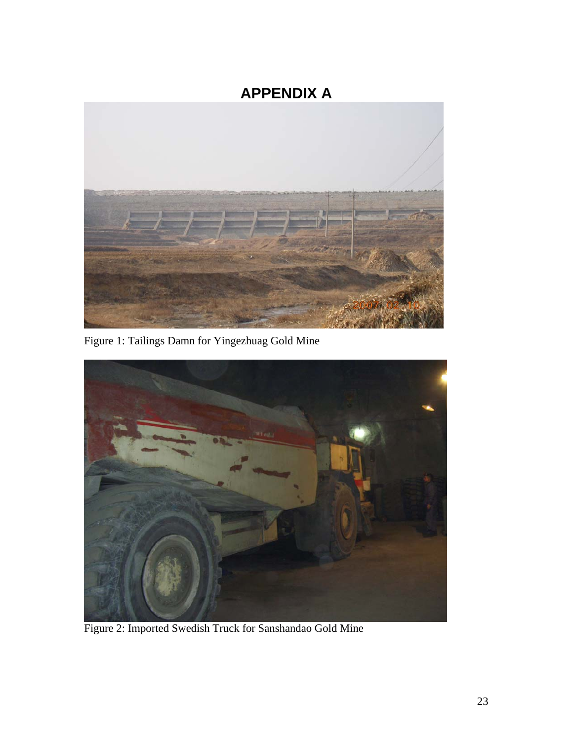# **APPENDIX A**

<span id="page-22-0"></span>

Figure 1: Tailings Damn for Yingezhuag Gold Mine



Figure 2: Imported Swedish Truck for Sanshandao Gold Mine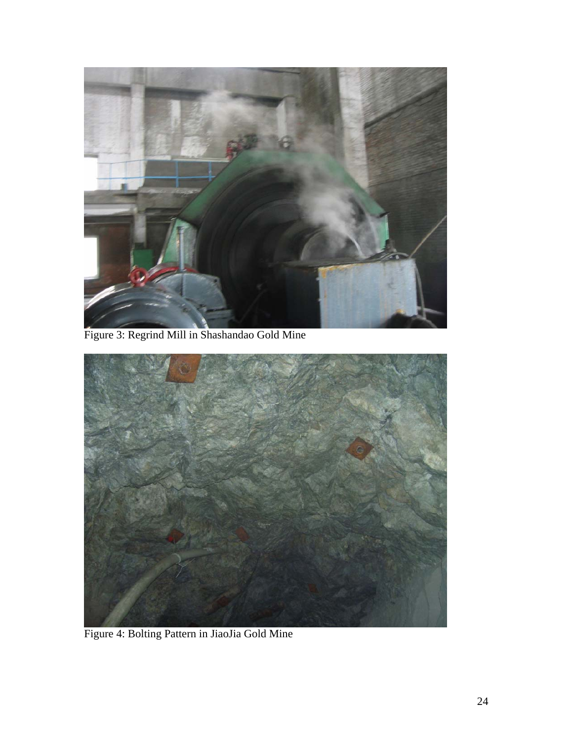

Figure 3: Regrind Mill in Shashandao Gold Mine



Figure 4: Bolting Pattern in JiaoJia Gold Mine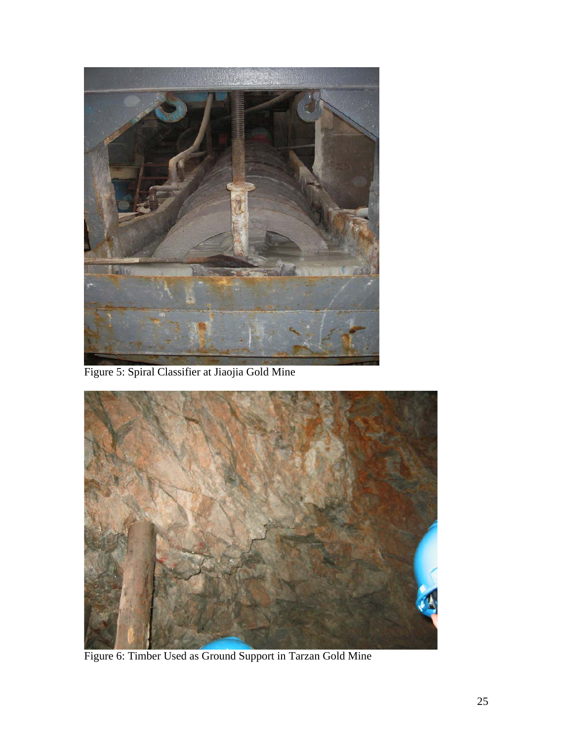

Figure 5: Spiral Classifier at Jiaojia Gold Mine



Figure 6: Timber Used as Ground Support in Tarzan Gold Mine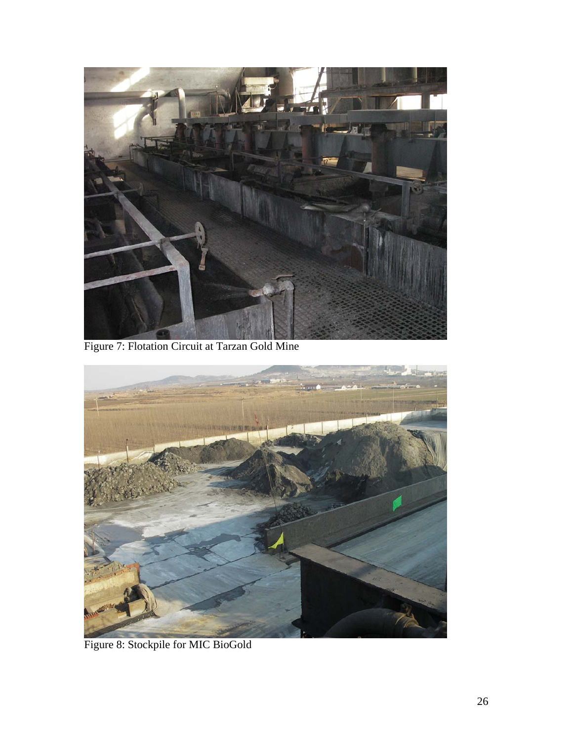

Figure 7: Flotation Circuit at Tarzan Gold Mine



Figure 8: Stockpile for MIC BioGold